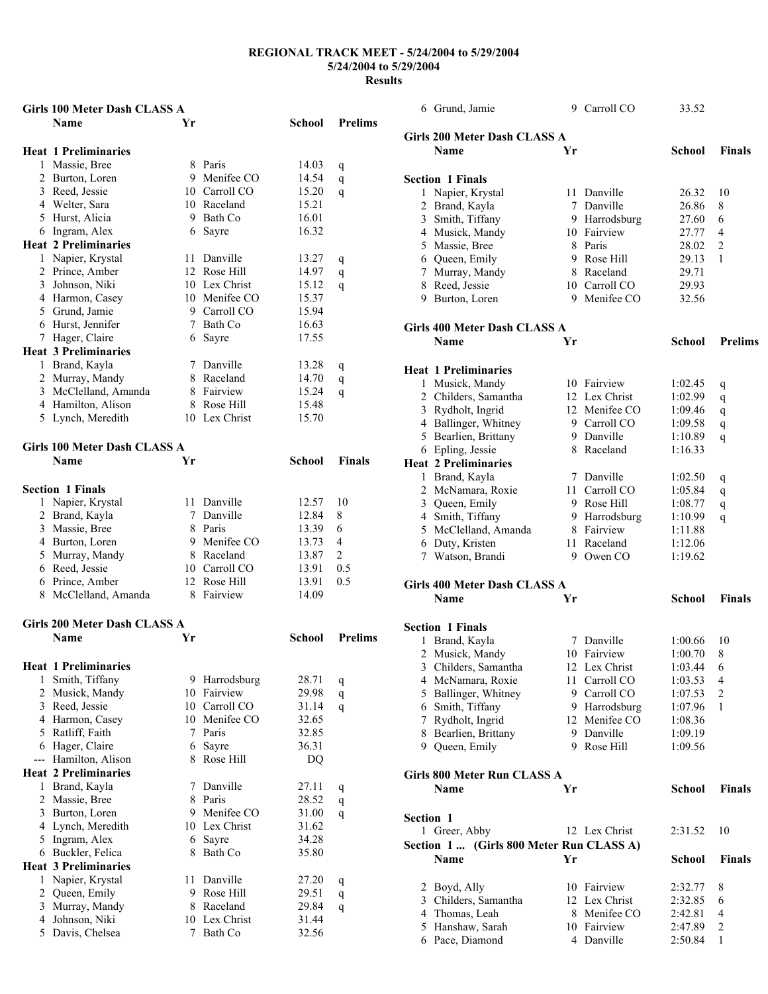|                | <b>Girls 100 Meter Dash CLASS A</b> |    |               |        |                |
|----------------|-------------------------------------|----|---------------|--------|----------------|
|                | <b>Name</b>                         | Yr |               | School | <b>Prelims</b> |
|                |                                     |    |               |        |                |
|                | <b>Heat 1 Preliminaries</b>         |    |               |        |                |
|                | 1 Massie, Bree                      |    | 8 Paris       | 14.03  | q              |
|                | 2 Burton, Loren                     |    | 9 Menifee CO  | 14.54  | q              |
|                | 3 Reed, Jessie                      |    | 10 Carroll CO | 15.20  | q              |
|                | 4 Welter, Sara                      |    | 10 Raceland   | 15.21  |                |
|                | 5 Hurst, Alicia                     |    | 9 Bath Co     | 16.01  |                |
|                | 6 Ingram, Alex                      |    | 6 Sayre       | 16.32  |                |
|                | <b>Heat 2 Preliminaries</b>         |    |               |        |                |
|                | 1 Napier, Krystal                   |    | 11 Danville   | 13.27  | q              |
|                | 2 Prince, Amber                     |    | 12 Rose Hill  | 14.97  | q              |
|                | 3 Johnson, Niki                     |    | 10 Lex Christ | 15.12  | q              |
|                | 4 Harmon, Casey                     |    | 10 Menifee CO | 15.37  |                |
|                | 5 Grund, Jamie                      |    | 9 Carroll CO  | 15.94  |                |
|                | 6 Hurst, Jennifer                   |    | 7 Bath Co     | 16.63  |                |
|                | 7 Hager, Claire                     |    | 6 Sayre       | 17.55  |                |
|                | <b>Heat 3 Preliminaries</b>         |    |               |        |                |
|                | 1 Brand, Kayla                      |    | 7 Danville    | 13.28  | q              |
|                | 2 Murray, Mandy                     |    | 8 Raceland    | 14.70  | q              |
|                | 3 McClelland, Amanda                |    | 8 Fairview    | 15.24  | q              |
|                | 4 Hamilton, Alison                  |    | 8 Rose Hill   | 15.48  |                |
|                | 5 Lynch, Meredith                   |    | 10 Lex Christ | 15.70  |                |
|                |                                     |    |               |        |                |
|                | <b>Girls 100 Meter Dash CLASS A</b> |    |               |        |                |
|                | Name                                | Yr |               | School | <b>Finals</b>  |
|                |                                     |    |               |        |                |
|                | <b>Section 1 Finals</b>             |    |               |        |                |
|                | 1 Napier, Krystal                   |    | 11 Danville   | 12.57  | 10             |
|                | 2 Brand, Kayla                      |    | 7 Danville    | 12.84  | 8              |
|                | 3 Massie, Bree                      |    | 8 Paris       | 13.39  | 6              |
|                | 4 Burton, Loren                     |    | 9 Menifee CO  | 13.73  | $\overline{4}$ |
|                | 5 Murray, Mandy                     |    | 8 Raceland    | 13.87  | 2              |
|                | 6 Reed, Jessie                      |    | 10 Carroll CO | 13.91  | 0.5            |
|                | 6 Prince, Amber                     |    | 12 Rose Hill  | 13.91  | 0.5            |
|                | 8 McClelland, Amanda                |    | 8 Fairview    | 14.09  |                |
|                |                                     |    |               |        |                |
|                | <b>Girls 200 Meter Dash CLASS A</b> |    |               |        |                |
|                | Name                                | Yr |               | School | <b>Prelims</b> |
|                |                                     |    |               |        |                |
|                | <b>Heat 1 Preliminaries</b>         |    |               |        |                |
| 1              | Smith, Tiffany                      |    | 9 Harrodsburg | 28.71  | q              |
|                | 2 Musick, Mandy                     |    | 10 Fairview   | 29.98  | q              |
|                | 3 Reed, Jessie                      |    | 10 Carroll CO | 31.14  | q              |
|                | 4 Harmon, Casey                     | 10 | Menifee CO    | 32.65  |                |
|                | 5 Ratliff, Faith                    | 7  | Paris         | 32.85  |                |
|                | 6 Hager, Claire                     | 6  | Sayre         | 36.31  |                |
| ---            | Hamilton, Alison                    | 8  | Rose Hill     | DQ     |                |
|                | <b>Heat 2 Preliminaries</b>         |    |               |        |                |
| 1              | Brand, Kayla                        | 7  | Danville      | 27.11  | q              |
|                | 2 Massie, Bree                      | 8  | Paris         | 28.52  | q              |
|                | 3 Burton, Loren                     | 9  | Menifee CO    | 31.00  | q              |
|                | 4 Lynch, Meredith                   | 10 | Lex Christ    | 31.62  |                |
| 5              | Ingram, Alex                        | 6  | Sayre         | 34.28  |                |
|                | 6 Buckler, Felica                   | 8  | Bath Co       | 35.80  |                |
|                | <b>Heat 3 Preliminaries</b>         |    |               |        |                |
|                | 1 Napier, Krystal                   | 11 | Danville      | 27.20  | q              |
| $\overline{2}$ | Queen, Emily                        | 9  | Rose Hill     | 29.51  | q              |
|                | 3 Murray, Mandy                     | 8  | Raceland      | 29.84  | q              |
|                | 4 Johnson, Niki                     |    | 10 Lex Christ | 31.44  |                |
|                | 5 Davis, Chelsea                    | 7  | Bath Co       | 32.56  |                |

|           | 6 Grund, Jamie                           | 9  | Carroll CO    | 33.52         |                |
|-----------|------------------------------------------|----|---------------|---------------|----------------|
|           | Girls 200 Meter Dash CLASS A             |    |               |               |                |
|           | <b>Name</b>                              | Yr |               | <b>School</b> | <b>Finals</b>  |
|           |                                          |    |               |               |                |
|           | <b>Section 1 Finals</b>                  |    |               |               |                |
|           | 1 Napier, Krystal                        |    | 11 Danville   | 26.32         | 10             |
|           | 2 Brand, Kayla                           | 7  | Danville      | 26.86         | 8              |
|           | 3 Smith, Tiffany                         |    | 9 Harrodsburg | 27.60         | 6              |
|           | 4 Musick, Mandy                          |    | 10 Fairview   | 27.77         | 4              |
|           | 5 Massie, Bree                           |    | 8 Paris       | 28.02         | 2              |
|           | 6 Queen, Emily                           |    | 9 Rose Hill   | 29.13         | 1              |
|           | 7 Murray, Mandy                          |    | 8 Raceland    | 29.71         |                |
|           | 8 Reed, Jessie                           |    | 10 Carroll CO | 29.93         |                |
|           | 9 Burton, Loren                          |    | 9 Menifee CO  | 32.56         |                |
|           | Girls 400 Meter Dash CLASS A             |    |               |               |                |
|           | <b>Name</b>                              | Yr |               | School        | <b>Prelims</b> |
|           | <b>Heat 1 Preliminaries</b>              |    |               |               |                |
|           | 1 Musick, Mandy                          |    | 10 Fairview   | 1:02.45       |                |
|           | 2 Childers, Samantha                     |    | 12 Lex Christ | 1:02.99       | q              |
|           | 3 Rydholt, Ingrid                        |    | 12 Menifee CO | 1:09.46       | q              |
|           | 4 Ballinger, Whitney                     |    | 9 Carroll CO  | 1:09.58       | q              |
|           | 5 Bearlien, Brittany                     |    | 9 Danville    | 1:10.89       | q              |
|           | 6 Epling, Jessie                         |    | 8 Raceland    | 1:16.33       | q              |
|           | <b>Heat 2 Preliminaries</b>              |    |               |               |                |
|           | 1 Brand, Kayla                           | 7  | Danville      | 1:02.50       |                |
|           | 2 McNamara, Roxie                        | 11 | Carroll CO    | 1:05.84       | q              |
|           |                                          |    | 9 Rose Hill   |               | q              |
|           | 3 Queen, Emily<br>4 Smith, Tiffany       |    | 9 Harrodsburg | 1:08.77       | q              |
|           |                                          |    |               | 1:10.99       | q              |
|           | 5 McClelland, Amanda                     |    | 8 Fairview    | 1:11.88       |                |
|           | 6 Duty, Kristen                          | 11 | Raceland      | 1:12.06       |                |
|           | 7 Watson, Brandi                         | 9  | Owen CO       | 1:19.62       |                |
|           | Girls 400 Meter Dash CLASS A             |    |               |               |                |
|           | <b>Name</b>                              | Yr |               | <b>School</b> | Finals         |
|           | <b>Section 1 Finals</b>                  |    |               |               |                |
|           | 1 Brand, Kayla                           |    | 7 Danville    | 1:00.66       | 10             |
|           | 2 Musick, Mandy                          |    | 10 Fairview   | 1:00.70       | 8              |
|           | 3 Childers, Samantha                     |    | 12 Lex Christ | 1:03.44       | 6              |
|           | 4 McNamara, Roxie                        |    | 11 Carroll CO | 1:03.53       | 4              |
|           | 5 Ballinger, Whitney                     |    | 9 Carroll CO  | 1:07.53       | 2              |
|           | 6 Smith, Tiffany                         |    | 9 Harrodsburg | 1:07.96       | 1              |
|           | 7 Rydholt, Ingrid                        |    | 12 Menifee CO | 1:08.36       |                |
|           | 8 Bearlien, Brittany                     |    | 9 Danville    | 1:09.19       |                |
|           | 9 Queen, Emily                           |    | 9 Rose Hill   | 1:09.56       |                |
|           | Girls 800 Meter Run CLASS A              |    |               |               |                |
|           | Name                                     | Yr |               | <b>School</b> | Finals         |
|           |                                          |    |               |               |                |
| Section 1 |                                          |    |               |               |                |
|           | 1 Greer, Abby                            |    | 12 Lex Christ | 2:31.52       | 10             |
|           | Section 1  (Girls 800 Meter Run CLASS A) |    |               |               |                |
|           | Name                                     | Yr |               | <b>School</b> | <b>Finals</b>  |
|           | 2 Boyd, Ally                             |    | 10 Fairview   | 2:32.77       | 8              |
|           | 3 Childers, Samantha                     |    | 12 Lex Christ | 2:32.85       | 6              |
|           | 4 Thomas, Leah                           | 8  | Menifee CO    | 2:42.81       | 4              |
|           | 5 Hanshaw, Sarah                         |    | 10 Fairview   | 2:47.89       | 2              |
|           | 6 Pace, Diamond                          |    | 4 Danville    | 2:50.84       | 1              |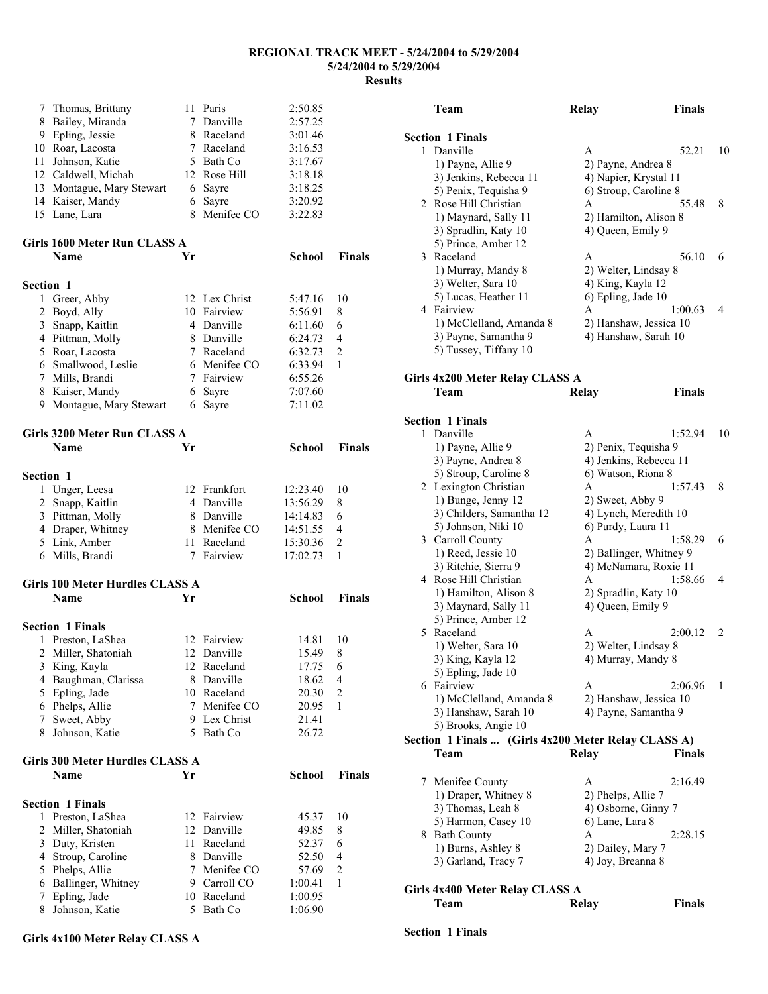| 7                | Thomas, Brittany                |    | 11 Paris      | 2:50.85       |                |
|------------------|---------------------------------|----|---------------|---------------|----------------|
| 8                | Bailey, Miranda                 |    | 7 Danville    | 2:57.25       |                |
| 9                | Epling, Jessie                  |    | 8 Raceland    | 3:01.46       |                |
|                  | 10 Roar, Lacosta                |    | 7 Raceland    | 3:16.53       |                |
| 11               | Johnson, Katie                  |    | 5 Bath Co     | 3:17.67       |                |
|                  | 12 Caldwell, Michah             |    | 12 Rose Hill  | 3:18.18       |                |
| 13               | Montague, Mary Stewart          |    | 6 Sayre       | 3:18.25       |                |
|                  | 14 Kaiser, Mandy                | 6  | Sayre         | 3:20.92       |                |
|                  | 15 Lane, Lara                   | 8  | Menifee CO    | 3:22.83       |                |
|                  | Girls 1600 Meter Run CLASS A    |    |               |               |                |
|                  | Name                            | Yr |               | School        | <b>Finals</b>  |
| <b>Section 1</b> |                                 |    |               |               |                |
| 1                | Greer, Abby                     |    | 12 Lex Christ | 5:47.16       | 10             |
| $\overline{2}$   | Boyd, Ally                      |    | 10 Fairview   | 5:56.91       | 8              |
| 3                | Snapp, Kaitlin                  |    | 4 Danville    | 6:11.60       | 6              |
|                  | 4 Pittman, Molly                |    | 8 Danville    | 6:24.73       | 4              |
|                  | 5 Roar, Lacosta                 |    | 7 Raceland    | 6:32.73       | $\overline{c}$ |
|                  | 6 Smallwood, Leslie             |    | 6 Menifee CO  | 6:33.94       | 1              |
|                  | 7 Mills, Brandi                 |    | 7 Fairview    | 6:55.26       |                |
| 8                | Kaiser, Mandy                   |    | 6 Sayre       | 7:07.60       |                |
|                  | 9 Montague, Mary Stewart        | 6  | Sayre         | 7:11.02       |                |
|                  | Girls 3200 Meter Run CLASS A    |    |               |               |                |
|                  | Name                            | Yr |               | School        | <b>Finals</b>  |
| <b>Section 1</b> |                                 |    |               |               |                |
|                  | 1 Unger, Leesa                  |    | 12 Frankfort  | 12:23.40      | 10             |
|                  | 2 Snapp, Kaitlin                |    | 4 Danville    | 13:56.29      | 8              |
|                  | 3 Pittman, Molly                |    | 8 Danville    | 14:14.83      | 6              |
|                  | 4 Draper, Whitney               |    | 8 Menifee CO  | 14:51.55      | 4              |
|                  | 5 Link, Amber                   |    | 11 Raceland   | 15:30.36      | $\overline{c}$ |
|                  | 6 Mills, Brandi                 | 7  | Fairview      | 17:02.73      | 1              |
|                  | Girls 100 Meter Hurdles CLASS A |    |               |               |                |
|                  | Name                            | Yr |               | <b>School</b> | <b>Finals</b>  |
|                  | <b>Section 1 Finals</b>         |    |               |               |                |
|                  | 1 Preston, LaShea               |    | 12 Fairview   | 14.81         | 10             |
| 2                | Miller, Shatoniah               |    | 12 Danville   | 15.49         | 8              |
|                  | 3 King, Kayla                   |    | 12 Raceland   | 17.75 6       |                |
|                  | 4 Baughman, Clarissa            |    | 8 Danville    | 18.62         | 4              |
| 5                | Epling, Jade                    |    | 10 Raceland   | 20.30         | 2              |
| 6                | Phelps, Allie                   | 7  | Menifee CO    | 20.95         | 1              |
| 7                | Sweet, Abby                     |    | 9 Lex Christ  | 21.41         |                |
| 8                | Johnson, Katie                  |    | 5 Bath Co     | 26.72         |                |
|                  | Girls 300 Meter Hurdles CLASS A |    |               |               |                |
|                  | Name                            | Yr |               | School        | <b>Finals</b>  |
|                  | <b>Section 1 Finals</b>         |    |               |               |                |
| 1                | Preston, LaShea                 |    | 12 Fairview   | 45.37         | 10             |
| 2                | Miller, Shatoniah               |    | 12 Danville   | 49.85         | 8              |
| 3                | Duty, Kristen                   |    | 11 Raceland   | 52.37         | 6              |
| 4                | Stroup, Caroline                |    | 8 Danville    | 52.50         | 4              |
| 5                | Phelps, Allie                   |    | 7 Menifee CO  | 57.69         | $\overline{2}$ |
| 6                | Ballinger, Whitney              |    | 9 Carroll CO  | 1:00.41       | $\mathbf{1}$   |
| 7                | Epling, Jade                    |    | 10 Raceland   | 1:00.95       |                |
| 8                | Johnson, Katie                  | 5. | Bath Co       | 1:06.90       |                |

### **Team Relay Finals Section 1 Finals**  1 Danville **A** 52.21 10 1) Payne, Allie 9 2) Payne, Andrea 8 3) Jenkins, Rebecca 11 4) Napier, Krystal 11 5) Penix, Tequisha 9 6) Stroup, Caroline 8 2 Rose Hill Christian A 55.48 8 1) Maynard, Sally 11 2) Hamilton, Alison 8 3) Spradlin, Katy 10 4) Queen, Emily 9 5) Prince, Amber 12 3 Raceland A 56.10 6 1) Murray, Mandy 8 2) Welter, Lindsay 8 3) Welter, Sara 10 4) King, Kayla 12 5) Lucas, Heather 11 6) Epling, Jade 10 4 Fairview A 1:00.63 4 1) McClelland, Amanda 8 2) Hanshaw, Jessica 10 3) Payne, Samantha 9 4) Hanshaw, Sarah 10 5) Tussey, Tiffany 10 **Girls 4x200 Meter Relay CLASS A Team Relay Finals Section 1 Finals**  1 Danville A 1:52.94 10 1) Payne, Allie 9 2) Penix, Tequisha 9 3) Payne, Andrea 8 4) Jenkins, Rebecca 11 5) Stroup, Caroline 8 6) Watson, Riona 8 2 Lexington Christian A 1:57.43 8 1) Bunge, Jenny 12 2) Sweet, Abby 9 3) Childers, Samantha 12 4) Lynch, Meredith 10 5) Johnson, Niki 10 6) Purdy, Laura 11 3 Carroll County A 1:58.29 6 1) Reed, Jessie 10 2) Ballinger, Whitney 9 3) Ritchie, Sierra 9 4) McNamara, Roxie 11 4 Rose Hill Christian A 1:58.66 4 1) Hamilton, Alison 8 2) Spradlin, Katy 10 3) Maynard, Sally 11 4) Queen, Emily 9 5) Prince, Amber 12 5 Raceland A 2:00.12 2 1) Welter, Sara 10 2) Welter, Lindsay 8 3) King, Kayla 12 4) Murray, Mandy 8 5) Epling, Jade 10 6 Fairview A 2:06.96 1 1) McClelland, Amanda 8 2) Hanshaw, Jessica 10 3) Hanshaw, Sarah 10 4) Payne, Samantha 9 5) Brooks, Angie 10 **Section 1 Finals ... (Girls 4x200 Meter Relay CLASS A) Team Relay Finals**  7 Menifee County A 2:16.49<br>1) Draper, Whitney 8 2) Phelps, Allie 7 1) Draper, Whitney 8 3) Thomas, Leah 8 4) Osborne, Ginny 7 5) Harmon, Casey 10 6) Lane, Lara 8 8 Bath County A 2:28.15 1) Burns, Ashley 8 2) Dailey, Mary 7 3) Garland, Tracy 7 4) Joy, Breanna 8 **Girls 4x400 Meter Relay CLASS A Team Relay Finals**

#### **Girls 4x100 Meter Relay CLASS A**

### **Section 1 Finals**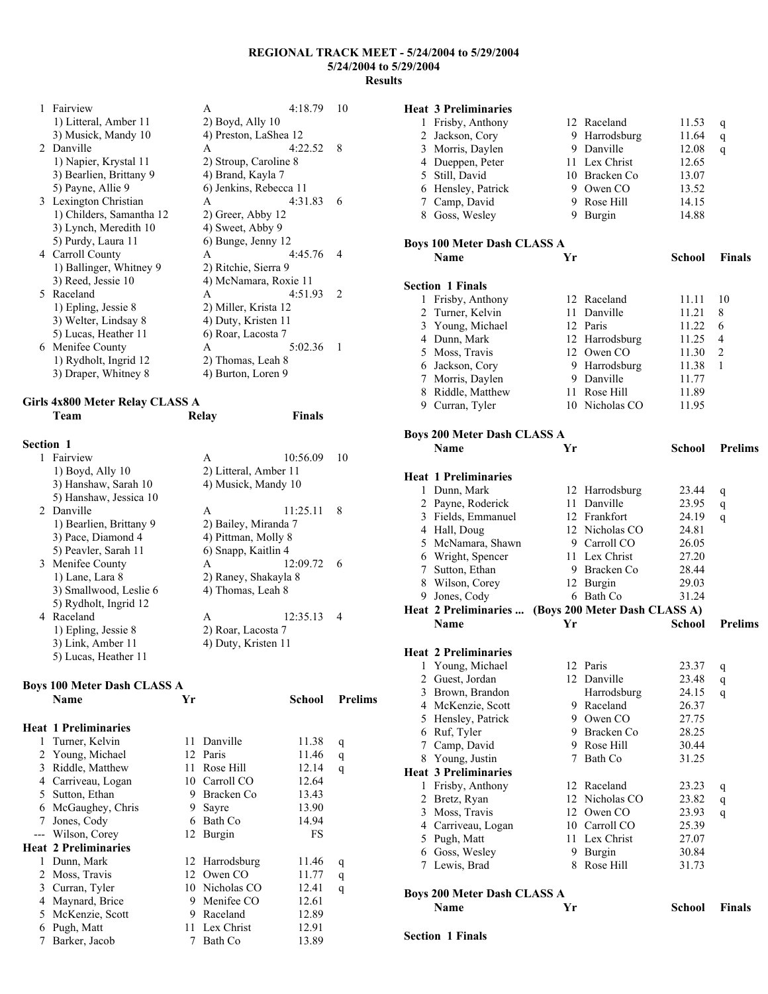| 1 | Fairview                 | A                      | 4:18.79 | 10            |
|---|--------------------------|------------------------|---------|---------------|
|   | 1) Litteral, Amber 11    | $2)$ Boyd, Ally 10     |         |               |
|   | 3) Musick, Mandy 10      | 4) Preston, LaShea 12  |         |               |
|   | 2 Danville               | A                      | 4:22.52 | 8             |
|   | 1) Napier, Krystal 11    | 2) Stroup, Caroline 8  |         |               |
|   | 3) Bearlien, Brittany 9  | 4) Brand, Kayla 7      |         |               |
|   | 5) Payne, Allie 9        | 6) Jenkins, Rebecca 11 |         |               |
|   | 3 Lexington Christian    | A                      | 4:31.83 | 6             |
|   | 1) Childers, Samantha 12 | 2) Greer, Abby 12      |         |               |
|   | 3) Lynch, Meredith 10    | 4) Sweet, Abby 9       |         |               |
|   | 5) Purdy, Laura 11       | 6) Bunge, Jenny 12     |         |               |
|   | 4 Carroll County         | A                      | 4:45.76 | 4             |
|   | 1) Ballinger, Whitney 9  | 2) Ritchie, Sierra 9   |         |               |
|   | 3) Reed, Jessie 10       | 4) McNamara, Roxie 11  |         |               |
|   | 5 Raceland               | A                      | 4:51.93 | $\mathcal{L}$ |
|   | 1) Epling, Jessie 8      | 2) Miller, Krista 12   |         |               |
|   | 3) Welter, Lindsay 8     | 4) Duty, Kristen 11    |         |               |
|   | 5) Lucas, Heather 11     | 6) Roar, Lacosta 7     |         |               |
|   | 6 Menifee County         | A                      | 5:02.36 | 1             |
|   | 1) Rydholt, Ingrid 12    | 2) Thomas, Leah 8      |         |               |
|   | 3) Draper, Whitney 8     | 4) Burton, Loren 9     |         |               |

## **Girls 4x800 Meter Relay CLASS A**

|           | Team                    | Relay                | <b>Finals</b>         |    |
|-----------|-------------------------|----------------------|-----------------------|----|
| Section 1 |                         |                      |                       |    |
| 1.        | Fairview                | A                    | 10:56.09              | 10 |
|           | $1)$ Boyd, Ally $10$    |                      | 2) Litteral, Amber 11 |    |
|           | 3) Hanshaw, Sarah 10    |                      | 4) Musick, Mandy 10   |    |
|           | 5) Hanshaw, Jessica 10  |                      |                       |    |
|           | 2 Danville              | A                    | 11:25.11              | 8  |
|           | 1) Bearlien, Brittany 9 | 2) Bailey, Miranda 7 |                       |    |
|           | 3) Pace, Diamond 4      | 4) Pittman, Molly 8  |                       |    |
|           | 5) Peavler, Sarah 11    | 6) Snapp, Kaitlin 4  |                       |    |
|           | 3 Menifee County        | A                    | 12:09.72              | 6  |
|           | 1) Lane, Lara 8         |                      | 2) Raney, Shakayla 8  |    |
|           | 3) Smallwood, Leslie 6  | 4) Thomas, Leah 8    |                       |    |
|           | 5) Rydholt, Ingrid 12   |                      |                       |    |
|           | 4 Raceland              | A                    | 12:35.13              | 4  |
|           | 1) Epling, Jessie 8     | 2) Roar, Lacosta 7   |                       |    |
|           | 3) Link, Amber 11       | 4) Duty, Kristen 11  |                       |    |
|           | 5) Lucas, Heather 11    |                      |                       |    |

# **Boys 100 Meter Dash CLASS A**

|   | Boys 100 Meter Dash CLASS A |     |                |        |                |
|---|-----------------------------|-----|----------------|--------|----------------|
|   | Name                        | Yr  |                | School | <b>Prelims</b> |
|   | <b>Heat 1 Preliminaries</b> |     |                |        |                |
| 1 | Turner, Kelvin              | 11  | Danville       | 11.38  | q              |
| 2 | Young, Michael              |     | 12 Paris       | 11.46  | q              |
| 3 | Riddle, Matthew             | 11. | Rose Hill      | 12.14  | q              |
| 4 | Carriveau, Logan            | 10  | Carroll CO     | 12.64  |                |
| 5 | Sutton, Ethan               | 9   | Bracken Co     | 13.43  |                |
| 6 | McGaughey, Chris            | 9   | Sayre          | 13.90  |                |
| 7 | Jones, Cody                 | 6   | Bath Co        | 14.94  |                |
|   | Wilson, Corey               | 12  | Burgin         | FS     |                |
|   | <b>Heat 2 Preliminaries</b> |     |                |        |                |
| 1 | Dunn, Mark                  |     | 12 Harrodsburg | 11.46  | q              |
| 2 | Moss, Travis                |     | 12 Owen CO     | 11.77  | q              |
| 3 | Curran, Tyler               |     | 10 Nicholas CO | 12.41  | q              |
| 4 | Maynard, Brice              | 9   | Menifee CO     | 12.61  |                |
| 5 | McKenzie, Scott             | 9   | Raceland       | 12.89  |                |
| 6 | Pugh, Matt                  | 11  | Lex Christ     | 12.91  |                |
| 7 | Barker, Jacob               | 7   | Bath Co        | 13.89  |                |
|   |                             |     |                |        |                |

## **Heat 3 Preliminaries**

|   | Heat 3 Preliminaries        |    |                |               |                |
|---|-----------------------------|----|----------------|---------------|----------------|
| 1 | Frisby, Anthony             |    | 12 Raceland    | 11.53         | q              |
| 2 | Jackson, Cory               | 9  | Harrodsburg    | 11.64         | q              |
| 3 | Morris, Daylen              | 9  | Danville       | 12.08         | q              |
| 4 | Dueppen, Peter              |    | 11 Lex Christ  | 12.65         |                |
| 5 | Still, David                | 10 | Bracken Co     | 13.07         |                |
| 6 | Hensley, Patrick            |    | 9 Owen CO      | 13.52         |                |
| 7 | Camp, David                 |    | 9 Rose Hill    | 14.15         |                |
| 8 | Goss, Wesley                | 9  | Burgin         | 14.88         |                |
|   | Boys 100 Meter Dash CLASS A |    |                |               |                |
|   | <b>Name</b>                 | Yr |                | <b>School</b> | <b>Finals</b>  |
|   | <b>Section 1 Finals</b>     |    |                |               |                |
| 1 | Frisby, Anthony             |    | 12 Raceland    | 11.11         | 10             |
| 2 | Turner, Kelvin              | 11 | Danville       | 11.21         | 8              |
| 3 | Young, Michael              |    | 12 Paris       | 11.22         | 6              |
| 4 | Dunn, Mark                  |    | 12 Harrodsburg | 11.25         | $\overline{4}$ |
| 5 | Moss, Travis                |    | 12 Owen CO     | 11.30         | 2              |
| 6 | Jackson, Cory               |    | 9 Harrodsburg  | 11.38         | 1              |
| 7 | Morris, Daylen              |    | 9 Danville     | 11.77         |                |
| 8 | Riddle, Matthew             | 11 | Rose Hill      | 11.89         |                |
| 9 | Curran, Tyler               |    | 10 Nicholas CO | 11.95         |                |
|   | Boys 200 Meter Dash CLASS A |    |                |               |                |
|   | <b>Name</b>                 | Yr |                | <b>School</b> | <b>Prelims</b> |

### **Heat 1 Preliminaries**

| 1 | Dunn, Mark                                          |             | 12 Harrodsburg | 23.44         | q              |
|---|-----------------------------------------------------|-------------|----------------|---------------|----------------|
|   | 2 Payne, Roderick                                   |             | 11 Danville    | 23.95         | q              |
| 3 | Fields, Emmanuel                                    |             | 12 Frankfort   | 24.19         | q              |
|   | 4 Hall, Doug                                        |             | 12 Nicholas CO | 24.81         |                |
| 5 | McNamara, Shawn                                     |             | 9 Carroll CO   | 26.05         |                |
|   | 6 Wright, Spencer                                   |             | 11 Lex Christ  | 27.20         |                |
| 7 | Sutton, Ethan                                       |             | 9 Bracken Co   | 28.44         |                |
|   | 8 Wilson, Corey                                     |             | 12 Burgin      | 29.03         |                |
|   | 9 Jones, Cody                                       |             | 6 Bath Co      | 31.24         |                |
|   | Heat 2 Preliminaries  (Boys 200 Meter Dash CLASS A) |             |                |               |                |
|   | <b>Name</b>                                         | Yr          |                | <b>School</b> | <b>Prelims</b> |
|   | <b>Heat 2 Preliminaries</b>                         |             |                |               |                |
|   | 1 Young, Michael                                    |             | 12 Paris       | 23.37         | q              |
|   | 2 Guest, Jordan                                     |             | 12 Danville    | 23.48         | q              |
|   | 3 Brown, Brandon                                    |             | Harrodsburg    | 24.15         | q              |
|   | 4 McKenzie, Scott                                   |             | 9 Raceland     | 26.37         |                |
|   | 5 Hensley, Patrick                                  |             | 9 Owen CO      | 27.75         |                |
|   | 6 Ruf, Tyler                                        |             | 9 Bracken Co   | 28.25         |                |
| 7 | Camp, David                                         |             | 9 Rose Hill    | 30.44         |                |
|   | 8 Young, Justin                                     | $7^{\circ}$ | Bath Co        | 31.25         |                |
|   | <b>Heat 3 Preliminaries</b>                         |             |                |               |                |
| 1 | Frisby, Anthony                                     |             | 12 Raceland    | 23.23         | q              |
| 2 | Bretz, Ryan                                         |             | 12 Nicholas CO | 23.82         | q              |
| 3 | Moss, Travis                                        |             | 12 Owen CO     | 23.93         | q              |
|   | 4 Carriveau, Logan                                  |             | 10 Carroll CO  | 25.39         |                |
| 5 | Pugh, Matt                                          |             | 11 Lex Christ  | 27.07         |                |
|   | 6 Goss, Wesley                                      |             | 9 Burgin       | 30.84         |                |
| 7 | Lewis, Brad                                         | 8           | Rose Hill      | 31.73         |                |
|   | Boys 200 Meter Dash CLASS A                         |             |                |               |                |
|   | Name                                                | Yr          |                | <b>School</b> | <b>Finals</b>  |

### **Section 1 Finals**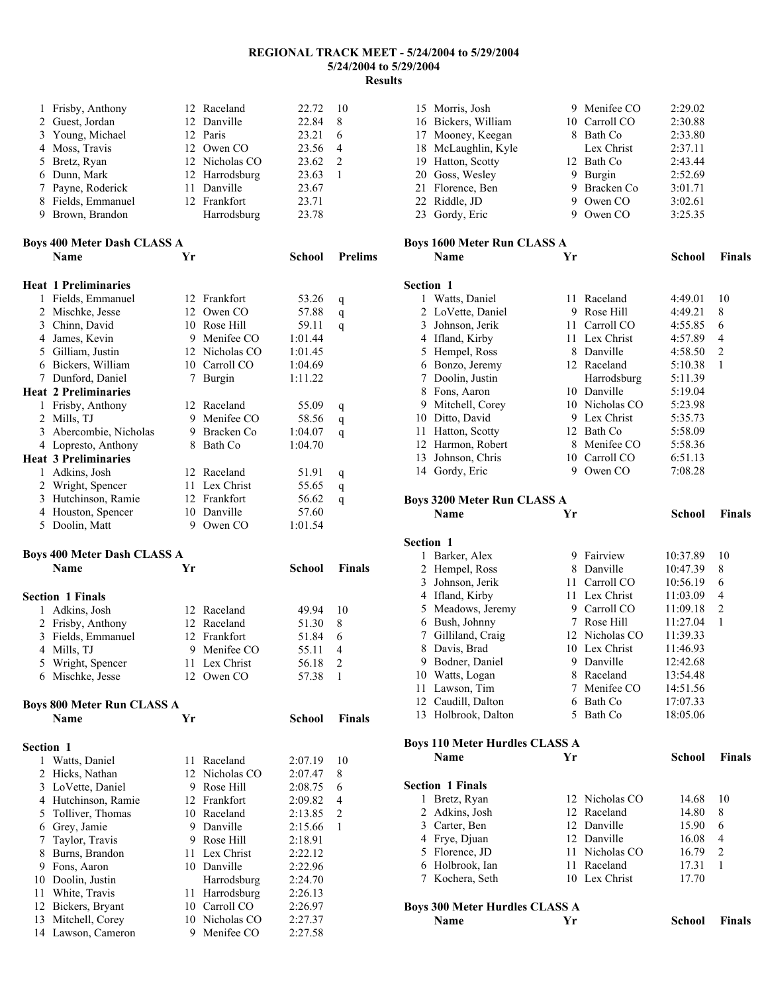| 1                | Frisby, Anthony                       |    | 12 Raceland                    | 22.72              | 10             |
|------------------|---------------------------------------|----|--------------------------------|--------------------|----------------|
|                  | 2 Guest, Jordan                       |    | 12 Danville                    | 22.84              | 8              |
| 3                | Young, Michael                        |    | 12 Paris                       | 23.21              | 6              |
| 4                | Moss, Travis                          |    | 12 Owen CO                     | 23.56              | 4              |
| 5                | Bretz, Ryan                           |    | 12 Nicholas CO                 | 23.62              | $\overline{2}$ |
|                  | 6 Dunn, Mark                          |    | 12 Harrodsburg                 | 23.63              | 1              |
| 7                | Payne, Roderick                       |    | 11 Danville                    | 23.67              |                |
| 8                | Fields, Emmanuel                      |    | 12 Frankfort                   | 23.71              |                |
|                  | 9 Brown, Brandon                      |    | Harrodsburg                    | 23.78              |                |
|                  |                                       |    |                                |                    |                |
|                  | <b>Boys 400 Meter Dash CLASS A</b>    |    |                                |                    |                |
|                  | Name                                  | Yr |                                | School             | <b>Prelims</b> |
|                  |                                       |    |                                |                    |                |
|                  | <b>Heat 1 Preliminaries</b>           |    |                                |                    |                |
|                  | 1 Fields, Emmanuel                    |    | 12 Frankfort                   | 53.26              | q              |
|                  | 2 Mischke, Jesse                      |    | 12 Owen CO                     | 57.88              | q              |
|                  | 3 Chinn, David                        |    | 10 Rose Hill                   | 59.11              | q              |
|                  | 4 James, Kevin                        |    | 9 Menifee CO                   | 1:01.44            |                |
|                  | 5 Gilliam, Justin                     |    | 12 Nicholas CO                 | 1:01.45            |                |
|                  | 6 Bickers, William                    |    | 10 Carroll CO                  | 1:04.69            |                |
|                  | 7 Dunford, Daniel                     | 7  | Burgin                         | 1:11.22            |                |
|                  | <b>Heat 2 Preliminaries</b>           |    |                                |                    |                |
|                  |                                       |    |                                |                    |                |
|                  | 1 Frisby, Anthony                     |    | 12 Raceland<br>9 Menifee CO    | 55.09              | q              |
|                  | 2 Mills, TJ                           |    | 9 Bracken Co                   | 58.56              | q              |
| 3                | Abercombie, Nicholas                  |    |                                | 1:04.07            | q              |
|                  | 4 Lopresto, Anthony                   |    | 8 Bath Co                      | 1:04.70            |                |
|                  | <b>Heat 3 Preliminaries</b>           |    |                                |                    |                |
| 1                | Adkins, Josh                          |    | 12 Raceland                    | 51.91              | q              |
|                  | 2 Wright, Spencer                     |    | 11 Lex Christ                  | 55.65              | q              |
|                  | 3 Hutchinson, Ramie                   |    | 12 Frankfort                   | 56.62              | q              |
|                  | 4 Houston, Spencer                    |    | 10 Danville                    | 57.60              |                |
|                  |                                       |    |                                |                    |                |
| 5                | Doolin, Matt                          |    | 9 Owen CO                      | 1:01.54            |                |
|                  |                                       |    |                                |                    |                |
|                  | <b>Boys 400 Meter Dash CLASS A</b>    |    |                                |                    |                |
|                  | Name                                  | Yr |                                | School             | <b>Finals</b>  |
|                  |                                       |    |                                |                    |                |
|                  | <b>Section 1 Finals</b>               |    |                                |                    |                |
|                  | 1 Adkins, Josh                        |    | 12 Raceland                    | 49.94              | 10             |
|                  | 2 Frisby, Anthony                     |    | 12 Raceland                    | 51.30              | 8              |
| 3                | Fields, Emmanuel                      |    | 12 Frankfort                   | 51.84              | 6              |
|                  | 4 Mills, TJ                           |    | 9 Menifee CO                   | 55.11              | 4              |
|                  | 5 Wright, Spencer                     |    | 11 Lex Christ                  | 56.18              | $\sqrt{2}$     |
|                  | 6 Mischke, Jesse                      |    | 12 Owen CO                     | 57.38              | 1              |
|                  |                                       |    |                                |                    |                |
|                  | <b>Boys 800 Meter Run CLASS A</b>     |    |                                |                    |                |
|                  | <b>Name</b>                           | Yr |                                | <b>School</b>      | <b>Finals</b>  |
|                  |                                       |    |                                |                    |                |
| <b>Section 1</b> |                                       |    |                                |                    |                |
| 1                | Watts, Daniel                         | 11 | Raceland                       | 2:07.19            | 10             |
| 2                | Hicks, Nathan                         |    | 12 Nicholas CO                 | 2:07.47            | 8              |
| 3                | LoVette, Daniel                       | 9. | Rose Hill                      | 2:08.75            | 6              |
|                  | 4 Hutchinson, Ramie                   |    | 12 Frankfort                   | 2:09.82            | 4              |
| 5                | Tolliver, Thomas                      |    | 10 Raceland                    | 2:13.85            | 2              |
|                  | 6 Grey, Jamie                         |    | 9 Danville                     | 2:15.66            | 1              |
| 7                | Taylor, Travis                        |    | 9 Rose Hill                    | 2:18.91            |                |
| 8                | Burns, Brandon                        | 11 | Lex Christ                     | 2:22.12            |                |
| 9.               | Fons, Aaron                           |    | 10 Danville                    | 2:22.96            |                |
| 10               | Doolin, Justin                        |    | Harrodsburg                    | 2:24.70            |                |
| 11               | White, Travis                         | 11 | Harrodsburg                    | 2:26.13            |                |
| 12               | Bickers, Bryant                       |    | 10 Carroll CO                  | 2:26.97            |                |
| 13               | Mitchell, Corey<br>14 Lawson, Cameron |    | 10 Nicholas CO<br>9 Menifee CO | 2:27.37<br>2:27.58 |                |

| 15 Morris, Josh                       |    | 9 Menifee CO   | 2:29.02              |                |
|---------------------------------------|----|----------------|----------------------|----------------|
| 16 Bickers, William                   |    | 10 Carroll CO  | 2:30.88              |                |
| 17 Mooney, Keegan                     |    | 8 Bath Co      | 2:33.80              |                |
| 18 McLaughlin, Kyle                   |    | Lex Christ     | 2:37.11              |                |
| 19 Hatton, Scotty                     |    | 12 Bath Co     | 2:43.44              |                |
| 20 Goss, Wesley                       |    | 9 Burgin       | 2:52.69              |                |
| 21 Florence, Ben                      |    | 9 Bracken Co   | 3:01.71              |                |
| 22 Riddle, JD                         |    | 9 Owen CO      | 3:02.61              |                |
| 23 Gordy, Eric                        |    | 9 Owen CO      | 3:25.35              |                |
|                                       |    |                |                      |                |
| <b>Boys 1600 Meter Run CLASS A</b>    |    |                |                      |                |
| Name                                  | Yr |                | School               | Finals         |
| Section 1                             |    |                |                      |                |
|                                       | 11 | Raceland       |                      | 10             |
| 1 Watts, Daniel                       |    | 9 Rose Hill    | 4:49.01              | 8              |
| 2 LoVette, Daniel<br>3 Johnson, Jerik |    | 11 Carroll CO  | 4:49.21<br>4:55.85   | 6              |
|                                       |    | 11 Lex Christ  |                      | 4              |
| 4 Ifland, Kirby                       |    | 8 Danville     | 4:57.89              | $\overline{c}$ |
| 5 Hempel, Ross                        |    | 12 Raceland    | 4:58.50              | 1              |
| 6 Bonzo, Jeremy                       |    |                | 5:10.38              |                |
| 7 Doolin, Justin                      |    | Harrodsburg    | 5:11.39              |                |
| 8 Fons, Aaron                         |    | 10 Danville    | 5:19.04              |                |
| 9 Mitchell, Corey                     |    | 10 Nicholas CO | 5:23.98              |                |
| 10 Ditto, David                       |    | 9 Lex Christ   | 5:35.73              |                |
| 11 Hatton, Scotty                     |    | 12 Bath Co     | 5:58.09              |                |
| 12 Harmon, Robert                     |    | 8 Menifee CO   | 5:58.36              |                |
| 13 Johnson, Chris                     |    | 10 Carroll CO  | 6:51.13              |                |
| 14 Gordy, Eric                        |    | 9 Owen CO      | 7:08.28              |                |
| <b>Boys 3200 Meter Run CLASS A</b>    |    |                |                      |                |
| <b>Name</b>                           | Yr |                | <b>School</b>        | <b>Finals</b>  |
|                                       |    |                |                      |                |
|                                       |    |                |                      |                |
| Section 1                             |    |                |                      |                |
| 1 Barker, Alex                        |    | 9 Fairview     | 10:37.89             | 10             |
| 2 Hempel, Ross                        |    | 8 Danville     | 10:47.39             | 8              |
| 3 Johnson, Jerik                      |    | 11 Carroll CO  | 10:56.19             | 6              |
| 4 Ifland, Kirby                       |    | 11 Lex Christ  | 11:03.09             | 4              |
|                                       |    | 9 Carroll CO   | 11:09.18             | 2              |
| 5 Meadows, Jeremy<br>6 Bush, Johnny   |    | 7 Rose Hill    | 11:27.04             | 1              |
|                                       |    | 12 Nicholas CO | 11:39.33             |                |
| 7 Gilliland, Craig                    |    | 10 Lex Christ  | 11:46.93             |                |
| 8 Davis, Brad                         |    | 9 Danville     | 12:42.68             |                |
| 9 Bodner, Daniel                      |    | 8 Raceland     |                      |                |
| 10 Watts, Logan<br>11 Lawson, Tim     |    | 7 Menifee CO   | 13:54.48<br>14:51.56 |                |
| 12 Caudill, Dalton                    |    | 6 Bath Co      | 17:07.33             |                |
| 13 Holbrook, Dalton                   |    | 5 Bath Co      | 18:05.06             |                |
|                                       |    |                |                      |                |
| <b>Boys 110 Meter Hurdles CLASS A</b> |    |                |                      |                |
| Name                                  | Yr |                | <b>School</b>        | Finals         |
|                                       |    |                |                      |                |
| <b>Section 1 Finals</b>               |    |                |                      |                |
| 1 Bretz, Ryan                         |    | 12 Nicholas CO | 14.68                | 10             |
| 2 Adkins, Josh                        |    | 12 Raceland    | 14.80                | 8              |
| 3 Carter, Ben                         |    | 12 Danville    | 15.90                | 6              |
| 4 Frye, Djuan                         |    | 12 Danville    | 16.08                | 4              |
| 5 Florence, JD                        |    | 11 Nicholas CO | 16.79                | $\overline{c}$ |
| 6 Holbrook, Ian                       |    | 11 Raceland    | 17.31                | 1              |
| 7 Kochera, Seth                       |    | 10 Lex Christ  | 17.70                |                |
| <b>Boys 300 Meter Hurdles CLASS A</b> |    |                |                      |                |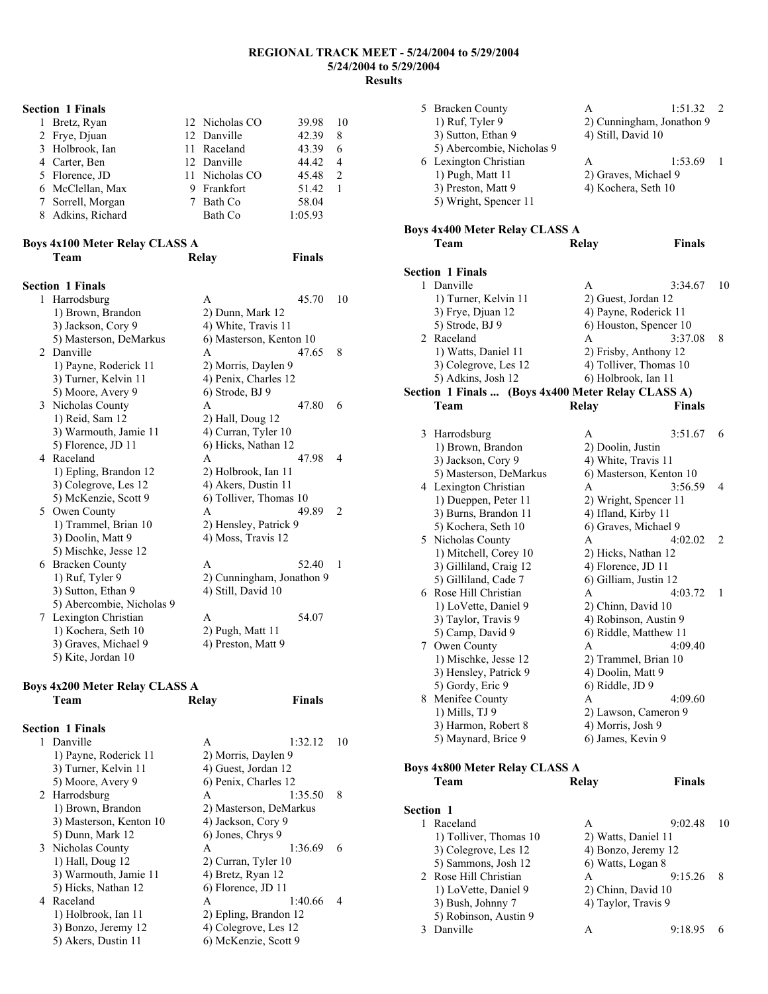|   | <b>Section 1 Finals</b>        |                           |               |                |
|---|--------------------------------|---------------------------|---------------|----------------|
| 1 | Bretz, Ryan                    | 12 Nicholas CO            | 39.98         | 10             |
|   | 2 Frye, Djuan                  | 12 Danville               | 42.39         | 8              |
|   | 3 Holbrook, Ian                | 11 Raceland               | 43.39         | 6              |
|   | 4 Carter, Ben                  | 12 Danville               | 44.42         | 4              |
|   | 5 Florence, JD                 | 11 Nicholas CO            | 45.48         | $\overline{c}$ |
|   | 6 McClellan, Max               | 9 Frankfort               | 51.42         | 1              |
|   | 7 Sorrell, Morgan              | 7 Bath Co                 | 58.04         |                |
|   | 8 Adkins, Richard              | Bath Co                   | 1:05.93       |                |
|   | Boys 4x100 Meter Relay CLASS A |                           |               |                |
|   | Team                           | Relay                     | <b>Finals</b> |                |
|   | <b>Section 1 Finals</b>        |                           |               |                |
|   | 1 Harrodsburg                  | A                         | 45.70         | 10             |
|   | 1) Brown, Brandon              | 2) Dunn, Mark 12          |               |                |
|   | 3) Jackson, Cory 9             | 4) White, Travis 11       |               |                |
|   | 5) Masterson, DeMarkus         | 6) Masterson, Kenton 10   |               |                |
|   | 2 Danville                     | A                         | 47.65         | 8              |
|   | 1) Payne, Roderick 11          | 2) Morris, Daylen 9       |               |                |
|   | 3) Turner, Kelvin 11           | 4) Penix, Charles 12      |               |                |
|   | 5) Moore, Avery 9              | 6) Strode, BJ 9           |               |                |
|   | 3 Nicholas County              | A                         | 47.80         | 6              |
|   | 1) Reid, Sam 12                | 2) Hall, Doug 12          |               |                |
|   | 3) Warmouth, Jamie 11          | 4) Curran, Tyler 10       |               |                |
|   | 5) Florence, JD 11             | 6) Hicks, Nathan 12       |               |                |
|   | 4 Raceland                     | A                         | 47.98         | $\overline{4}$ |
|   | 1) Epling, Brandon 12          | 2) Holbrook, Ian 11       |               |                |
|   | 3) Colegrove, Les 12           | 4) Akers, Dustin 11       |               |                |
|   | 5) McKenzie, Scott 9           | 6) Tolliver, Thomas 10    |               |                |
|   | 5 Owen County                  | A                         | 49.89         | 2              |
|   | 1) Trammel, Brian 10           | 2) Hensley, Patrick 9     |               |                |
|   | 3) Doolin, Matt 9              | 4) Moss, Travis 12        |               |                |
|   | 5) Mischke, Jesse 12           |                           |               |                |
|   | 6 Bracken County               | A                         | 52.40         | 1              |
|   | 1) Ruf, Tyler 9                | 2) Cunningham, Jonathon 9 |               |                |
|   | 3) Sutton, Ethan 9             | 4) Still, David 10        |               |                |
|   | 5) Abercombie, Nicholas 9      |                           |               |                |
|   | 7 Lexington Christian          | A                         | 54.07         |                |
|   | 1) Kochera, Seth 10            | 2) Pugh, Matt 11          |               |                |
|   | 3) Graves, Michael 9           | 4) Preston, Matt 9        |               |                |
|   | 5) Kite, Jordan 10             |                           |               |                |
|   |                                |                           |               |                |

### **Boys 4x200 Meter Relay CLASS A Team Relay Finals**

| <b>Section 1 Finals</b> |                        |         |    |
|-------------------------|------------------------|---------|----|
| 1 Danville              | A                      | 1:32.12 | 10 |
| 1) Payne, Roderick 11   | 2) Morris, Daylen 9    |         |    |
| 3) Turner, Kelvin 11    | 4) Guest, Jordan 12    |         |    |
| 5) Moore, Avery 9       | 6) Penix, Charles 12   |         |    |
| 2 Harrodsburg           | A                      | 1:35.50 | 8  |
| 1) Brown, Brandon       | 2) Masterson, DeMarkus |         |    |
| 3) Masterson, Kenton 10 | 4) Jackson, Cory 9     |         |    |
| 5) Dunn, Mark 12        | 6) Jones, Chrys 9      |         |    |
| 3 Nicholas County       | A                      | 1:36.69 | 6  |
| 1) Hall, Doug 12        | 2) Curran, Tyler 10    |         |    |
| 3) Warmouth, Jamie 11   | 4) Bretz, Ryan 12      |         |    |
| 5) Hicks, Nathan 12     | 6) Florence, JD 11     |         |    |
| 4 Raceland              | A                      | 1:40.66 | 4  |
| 1) Holbrook, Ian 11     | 2) Epling, Brandon 12  |         |    |
| 3) Bonzo, Jeremy 12     | 4) Colegrove, Les 12   |         |    |
| 5) Akers, Dustin 11     | 6) McKenzie, Scott 9   |         |    |

|           | 5 Bracken County                                   | A                                           | 1:51.32                   | 2  |
|-----------|----------------------------------------------------|---------------------------------------------|---------------------------|----|
|           | 1) Ruf, Tyler 9                                    |                                             | 2) Cunningham, Jonathon 9 |    |
|           | 3) Sutton, Ethan 9                                 | 4) Still, David 10                          |                           |    |
|           | 5) Abercombie, Nicholas 9                          |                                             |                           |    |
|           | 6 Lexington Christian                              | A                                           | 1:53.69                   | 1  |
|           | 1) Pugh, Matt 11                                   | 2) Graves, Michael 9                        |                           |    |
|           | 3) Preston, Matt 9                                 | 4) Kochera, Seth 10                         |                           |    |
|           | 5) Wright, Spencer 11                              |                                             |                           |    |
|           |                                                    |                                             |                           |    |
|           | <b>Boys 4x400 Meter Relay CLASS A</b>              |                                             |                           |    |
|           | Team                                               | Relay                                       | <b>Finals</b>             |    |
|           |                                                    |                                             |                           |    |
|           | <b>Section 1 Finals</b>                            |                                             |                           |    |
| 1         | Danville                                           | A                                           | 3:34.67                   | 10 |
|           | 1) Turner, Kelvin 11                               | 2) Guest, Jordan 12                         |                           |    |
|           | 3) Frye, Djuan 12                                  | 4) Payne, Roderick 11                       |                           |    |
|           | 5) Strode, BJ 9                                    | 6) Houston, Spencer 10                      |                           |    |
|           | 2 Raceland                                         | A                                           | 3:37.08                   | 8  |
|           | 1) Watts, Daniel 11                                | 2) Frisby, Anthony 12                       |                           |    |
|           | 3) Colegrove, Les 12                               | 4) Tolliver, Thomas 10                      |                           |    |
|           | 5) Adkins, Josh 12                                 | 6) Holbrook, Ian 11                         |                           |    |
|           | Section 1 Finals  (Boys 4x400 Meter Relay CLASS A) |                                             |                           |    |
|           | Team                                               | Relay                                       | Finals                    |    |
|           |                                                    |                                             |                           |    |
|           | 3 Harrodsburg                                      | A                                           | 3:51.67                   | 6  |
|           | 1) Brown, Brandon                                  | 2) Doolin, Justin                           |                           |    |
|           | 3) Jackson, Cory 9                                 | 4) White, Travis 11                         |                           |    |
|           | 5) Masterson, DeMarkus                             | 6) Masterson, Kenton 10                     |                           |    |
|           | 4 Lexington Christian                              | Α                                           | 3:56.59                   | 4  |
|           | 1) Dueppen, Peter 11                               | 2) Wright, Spencer 11                       |                           |    |
|           | 3) Burns, Brandon 11                               | 4) Ifland, Kirby 11                         |                           |    |
|           | 5) Kochera, Seth 10                                | 6) Graves, Michael 9                        |                           |    |
|           | 5 Nicholas County                                  | A                                           | 4:02.02                   | 2  |
|           | 1) Mitchell, Corey 10                              | 2) Hicks, Nathan 12                         |                           |    |
|           | 3) Gilliland, Craig 12                             | 4) Florence, JD 11<br>6) Gilliam, Justin 12 |                           |    |
|           | 5) Gilliland, Cade 7<br>6 Rose Hill Christian      | A                                           | 4:03.72                   | 1  |
|           | 1) LoVette, Daniel 9                               | 2) Chinn, David 10                          |                           |    |
|           | 3) Taylor, Travis 9                                | 4) Robinson, Austin 9                       |                           |    |
|           | 5) Camp, David 9                                   | 6) Riddle, Matthew 11                       |                           |    |
|           | 7 Owen County                                      | A                                           | 4:09.40                   |    |
|           | 1) Mischke, Jesse 12                               | 2) Trammel, Brian 10                        |                           |    |
|           | 3) Hensley, Patrick 9                              | 4) Doolin, Matt 9                           |                           |    |
|           | 5) Gordy, Eric 9                                   | 6) Riddle, JD 9                             |                           |    |
|           | 8 Menifee County                                   | A                                           | 4:09.60                   |    |
|           | 1) Mills, TJ 9                                     | 2) Lawson, Cameron 9                        |                           |    |
|           | 3) Harmon, Robert 8                                | 4) Morris, Josh 9                           |                           |    |
|           | 5) Maynard, Brice 9                                | 6) James, Kevin 9                           |                           |    |
|           |                                                    |                                             |                           |    |
|           | <b>Boys 4x800 Meter Relay CLASS A</b>              |                                             |                           |    |
|           | Team                                               | <b>Relay</b>                                | <b>Finals</b>             |    |
|           |                                                    |                                             |                           |    |
| Section 1 |                                                    |                                             |                           |    |
| 1         | Raceland                                           | A                                           | 9:02.48                   | 10 |
|           | 1) Tolliver, Thomas 10                             | 2) Watts, Daniel 11                         |                           |    |
|           | 3) Colegrove, Les 12                               | 4) Bonzo, Jeremy 12                         |                           |    |
|           | 5) Sammons, Josh 12                                | 6) Watts, Logan 8                           |                           |    |
|           | 2 Rose Hill Christian                              | A                                           | 9:15.26                   | 8  |
|           | 1) LoVette, Daniel 9                               | 2) Chinn, David 10                          |                           |    |
|           | 3) Bush, Johnny 7                                  | 4) Taylor, Travis 9                         |                           |    |
|           | 5) Robinson, Austin 9                              |                                             |                           |    |
|           |                                                    |                                             |                           |    |
| 3         | Danville                                           | A                                           | 9:18.95                   | 6  |